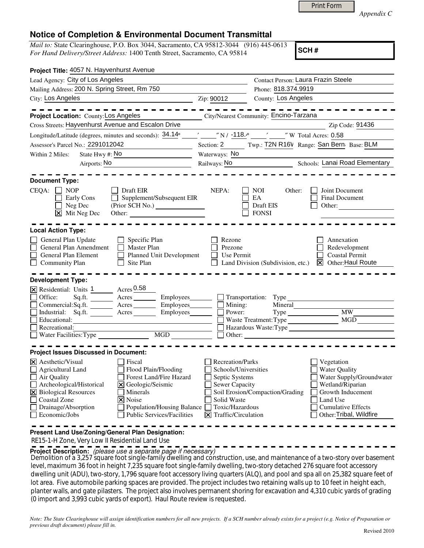|  | Print Form |
|--|------------|
|  |            |

*Appendix C* 

## **Notice of Completion & Environmental Document Transmittal**

*Mail to:* State Clearinghouse, P.O. Box 3044, Sacramento, CA 95812-3044 (916) 445-0613 *For Hand Delivery/Street Address:* 1400 Tenth Street, Sacramento, CA 95814

**SCH #**

| Project Title: 4057 N. Hayvenhurst Avenue                                                                                                                                                              |                                                                                                                                                                                  |                                                                                                                                                                               |                                                                                                  |                                                                                                                                                                             |  |
|--------------------------------------------------------------------------------------------------------------------------------------------------------------------------------------------------------|----------------------------------------------------------------------------------------------------------------------------------------------------------------------------------|-------------------------------------------------------------------------------------------------------------------------------------------------------------------------------|--------------------------------------------------------------------------------------------------|-----------------------------------------------------------------------------------------------------------------------------------------------------------------------------|--|
| Lead Agency: City of Los Angeles                                                                                                                                                                       |                                                                                                                                                                                  | Contact Person: Laura Frazin Steele                                                                                                                                           |                                                                                                  |                                                                                                                                                                             |  |
| Mailing Address: 200 N. Spring Street, Rm 750                                                                                                                                                          |                                                                                                                                                                                  |                                                                                                                                                                               | Phone: 818.374.9919                                                                              |                                                                                                                                                                             |  |
| City: Los Angeles<br><u> 1989 - Johann Stein, markin fan it ferstjer fan de ferstjer fan it ferstjer fan de ferstjer fan it ferstjer f</u>                                                             |                                                                                                                                                                                  | Zip: 90012                                                                                                                                                                    | County: Los Angeles                                                                              |                                                                                                                                                                             |  |
|                                                                                                                                                                                                        |                                                                                                                                                                                  |                                                                                                                                                                               |                                                                                                  |                                                                                                                                                                             |  |
| Project Location: County: Los Angeles                                                                                                                                                                  |                                                                                                                                                                                  |                                                                                                                                                                               | City/Nearest Community: Encino-Tarzana                                                           |                                                                                                                                                                             |  |
| Cross Streets: Hayvenhurst Avenue and Escalon Drive                                                                                                                                                    |                                                                                                                                                                                  |                                                                                                                                                                               |                                                                                                  | Zip Code: 91436                                                                                                                                                             |  |
| Longitude/Latitude (degrees, minutes and seconds): 34.14°                                                                                                                                              |                                                                                                                                                                                  |                                                                                                                                                                               | $\frac{1}{2}$ $\frac{1}{2}$ N/ $\frac{-118.}{e}$ $\frac{1}{2}$ $\frac{1}{2}$ W Total Acres: 0.58 |                                                                                                                                                                             |  |
| Assessor's Parcel No.: 2291012042                                                                                                                                                                      |                                                                                                                                                                                  |                                                                                                                                                                               |                                                                                                  |                                                                                                                                                                             |  |
| State Hwy #: No<br>Within 2 Miles:<br><u> 1990 - Johann Barbara, martin a</u>                                                                                                                          |                                                                                                                                                                                  | Section: 2 Twp.: T2N R16V Range: San Bern: Base: BLM<br>Waterways: No                                                                                                         |                                                                                                  |                                                                                                                                                                             |  |
| Airports: No                                                                                                                                                                                           |                                                                                                                                                                                  | Railways: No Schools: Lanai Road Elementary                                                                                                                                   |                                                                                                  |                                                                                                                                                                             |  |
|                                                                                                                                                                                                        |                                                                                                                                                                                  |                                                                                                                                                                               |                                                                                                  |                                                                                                                                                                             |  |
| <b>Document Type:</b>                                                                                                                                                                                  |                                                                                                                                                                                  |                                                                                                                                                                               |                                                                                                  |                                                                                                                                                                             |  |
| $CEQA: \Box NP$<br>Early Cons<br>Neg Dec<br>$\overline{\mathsf{x}}$ Mit Neg Dec                                                                                                                        | Draft EIR<br>$\Box$ Supplement/Subsequent EIR<br>Other:                                                                                                                          | NEPA:                                                                                                                                                                         | <b>NOI</b><br>Other:<br>EA<br>Draft EIS<br><b>FONSI</b>                                          | Joint Document<br><b>Final Document</b><br>Other:                                                                                                                           |  |
| <b>Local Action Type:</b>                                                                                                                                                                              |                                                                                                                                                                                  |                                                                                                                                                                               |                                                                                                  |                                                                                                                                                                             |  |
| General Plan Update<br>General Plan Amendment<br>General Plan Element<br>$\Box$ Community Plan                                                                                                         | Specific Plan<br><b>Master Plan</b><br>Planned Unit Development<br>Site Plan                                                                                                     | Rezone<br>Prezone<br>Use Permit                                                                                                                                               | Land Division (Subdivision, etc.)                                                                | Annexation<br>Redevelopment<br><b>Coastal Permit</b><br><b>X</b> Other: Haul Route                                                                                          |  |
| <b>Development Type:</b>                                                                                                                                                                               |                                                                                                                                                                                  |                                                                                                                                                                               |                                                                                                  |                                                                                                                                                                             |  |
| X Residential: Units 1 Acres 0.58<br>Office:<br>Commercial:Sq.ft. ________ Acres _______<br>Industrial: Sq.ft. Acres<br>Recreational:<br>$\Box$ Water Facilities: Type                                 | Employees________<br>Employees________<br>Employees________<br>$\overline{\text{MGD}}$                                                                                           | $\Box$ Mining:<br>Power:                                                                                                                                                      | Transportation: Type<br>Mineral<br>Waste Treatment: Type                                         | <b>MW</b><br>MGD<br>Hazardous Waste: Type                                                                                                                                   |  |
| <b>Project Issues Discussed in Document:</b>                                                                                                                                                           |                                                                                                                                                                                  |                                                                                                                                                                               |                                                                                                  |                                                                                                                                                                             |  |
| $ \mathsf{X} $ Aesthetic/Visual<br><b>Agricultural Land</b><br>$\Box$ Air Quality<br>Archeological/Historical<br>X Biological Resources<br><b>Coastal Zone</b><br>Drainage/Absorption<br>Economic/Jobs | Fiscal<br>Flood Plain/Flooding<br>Forest Land/Fire Hazard<br>X Geologic/Seismic<br>Minerals<br>X Noise<br><b>Population/Housing Balance</b><br><b>Public Services/Facilities</b> | <b>Recreation/Parks</b><br>Schools/Universities<br>Septic Systems<br><b>Sewer Capacity</b><br>Solid Waste<br>Toxic/Hazardous<br>$ \mathbf{\overline{X}} $ Traffic/Circulation | Soil Erosion/Compaction/Grading                                                                  | Vegetation<br><b>Water Quality</b><br>Water Supply/Groundwater<br>Wetland/Riparian<br>Growth Inducement<br>Land Use<br><b>Cumulative Effects</b><br>Other: Tribal, Wildfire |  |
| Present Land Use/Zoning/General Plan Designation:                                                                                                                                                      |                                                                                                                                                                                  |                                                                                                                                                                               |                                                                                                  |                                                                                                                                                                             |  |

RE15-1-H Zone, Very Low II Residential Land Use

**Project Description:** (please use a separate page if necessary)

Demolition of a 3,257 square foot single-family dwelling and construction, use, and maintenance of a two-story over basement level, maximum 36 foot in height 7,235 square foot single-family dwelling, two-story detached 276 square foot accessory dwelling unit (ADU), two-story, 1,796 square foot accessory living quarters (ALQ), and pool and spa all on 25,382 square feet of lot area. Five automobile parking spaces are provided. The project includes two retaining walls up to 10 feet in height each, planter walls, and gate pilasters. The project also involves permanent shoring for excavation and 4,310 cubic yards of grading (0 import and 3,993 cubic yards of export). Haul Route review is requested.

*Note: The State Clearinghouse will assign identification numbers for all new projects. If a SCH number already exists for a project (e.g. Notice of Preparation or previous draft document) please fill in.*